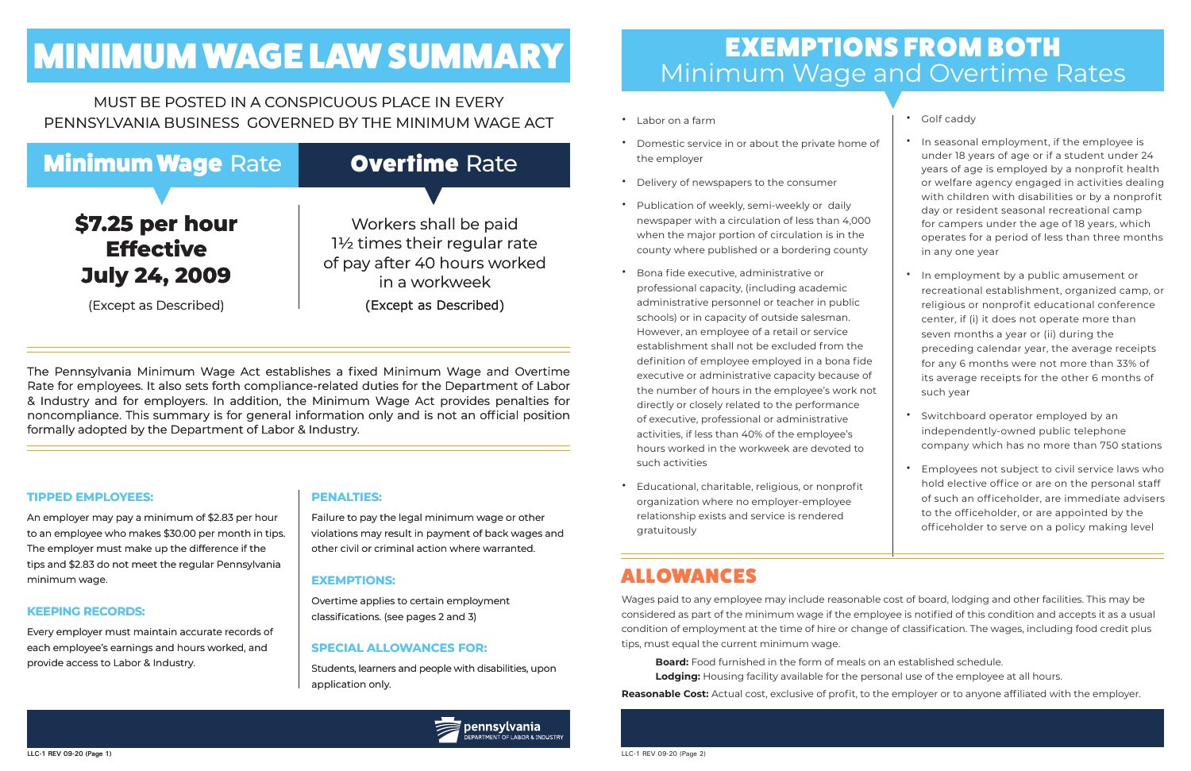#### **TIPPED EMPLOYEES:**

An employer may pay a minimum of \$2.83 per hour to an employee who makes \$30.00 per month in tips. The employer must make up the difference if the tips and \$2.83 do not meet the regular Pennsylvania minimum wage.

#### **KEEPING RECORDS:**

Every employer must maintain accurate records of each employee's earnings and hours worked, and provide access to Labor & Industry.



The Pennsylvania Minimum Wage Act establishes a fixed Minimum Wage and Overtime Rate for employees. It also sets forth compliance-related duties for the Department of Labor & Industry and for employers. In addition, the Minimum Wage Act provides penalties for noncompliance. This summary is for general information only and is not an official position formally adopted by the Department of Labor & Industry.

# MINIMUM WAGE LAW SUMMARY

MUST BE POSTED IN A CONSPICUOUS PLACE IN EVERY PENNSYLVANIA BUSINESS GOVERNED BY THE MINIMUM WAGE ACT

#### **PENALTIES:**

Failure to pay the legal minimum wage or other violations may result in payment of back wages and other civil or criminal action where warranted.

#### **EXEMPTIONS:**

Overtime applies to certain employment classifications. (see pages 2 and 3)

#### **SPECIAL ALLOWANCES FOR:**

Students, learners and people with disabilities, upon application only.



## EXEMPTIONS FROM BOTH Minimum Wage and Overtime Rates

- Golf caddy
- In seasonal employment, if the employee is under 18 years of age or if a student under 24 years of age is employed by a nonprofit health or welfare agency engaged in activities dealing with children with disabilities or by a nonprofit day or resident seasonal recreational camp for campers under the age of 18 years, which operates for a period of less than three months in any one year
	- In employment by a public amusement or recreational establishment, organized camp, or religious or nonprofit educational conference center, if (i) it does not operate more than seven months a year or (ii) during the preceding calendar year, the average receipts for any 6 months were not more than 33% of its average receipts for the other 6 months of such year
	- Switchboard operator employed by an independently-owned public telephone company which has no more than 750 stations
	- Employees not subject to civil service laws who hold elective office or are on the personal staff of such an officeholder, are immediate advisers to the officeholder, or are appointed by the officeholder to serve on a policy making level
- Labor on a farm
- Domestic service in or about the private home of the employer
- Delivery of newspapers to the consumer
- Publication of weekly, semi-weekly or daily newspaper with a circulation of less than 4,000 when the major portion of circulation is in the county where published or a bordering county
- Bona fide executive, administrative or professional capacity, (including academic administrative personnel or teacher in public schools) or in capacity of outside salesman. However, an employee of a retail or service establishment shall not be excluded from the definition of employee employed in a bona fide executive or administrative capacity because of the number of hours in the employee's work not directly or closely related to the performance of executive, professional or administrative activities, if less than 40% of the employee's hours worked in the workweek are devoted to such activities
- Educational, charitable, religious, or nonprofit organization where no employer-employee relationship exists and service is rendered gratuitously

Wages paid to any employee may include reasonable cost of board, lodging and other facilities. This may be considered as part of the minimum wage if the employee is notified of this condition and accepts it as a usual condition of employment at the time of hire or change of classification. The wages, including food credit plus tips, must equal the current minimum wage.

**Board:** Food furnished in the form of meals on an established schedule. **Lodging:** Housing facility available for the personal use of the employee at all hours.

- 
- 
- **Reasonable Cost:** Actual cost, exclusive of profit, to the employer or to anyone affiliated with the employer.

### ALLOWANCES